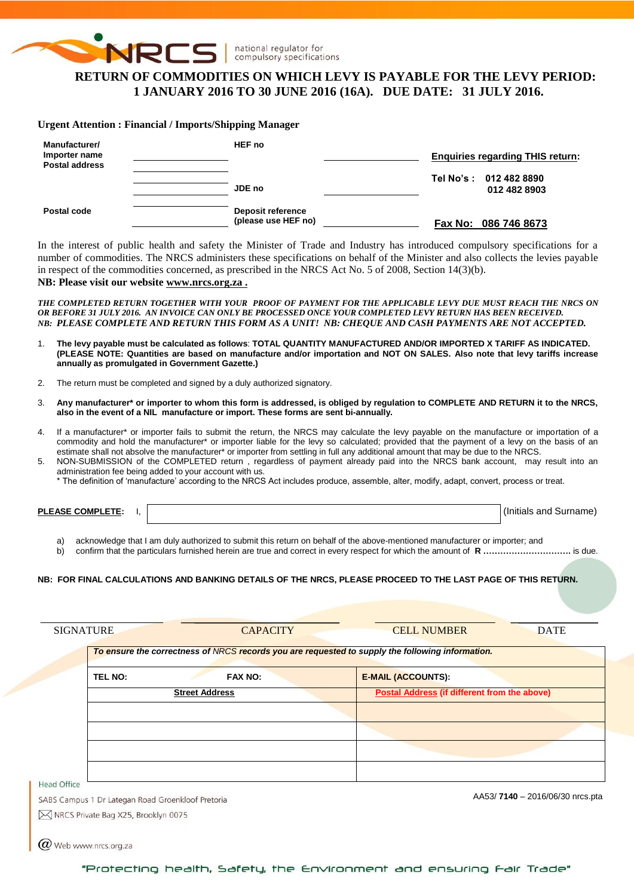

#### national regulator for compulsory specifications

# **RETURN OF COMMODITIES ON WHICH LEVY IS PAYABLE FOR THE LEVY PERIOD: 1 JANUARY 2016 TO 30 JUNE 2016 (16A). DUE DATE: 31 JULY 2016.**

#### **Urgent Attention : Financial / Imports/Shipping Manager**

| Manufacturer/<br>Importer name<br><b>Postal address</b> | HEF no                                   | <b>Enquiries regarding THIS return:</b> |  |  |  |
|---------------------------------------------------------|------------------------------------------|-----------------------------------------|--|--|--|
|                                                         | JDE no                                   | Tel No's: 012 482 8890<br>012 482 8903  |  |  |  |
| Postal code                                             | Deposit reference<br>(please use HEF no) | Fax No: 086 746 8673                    |  |  |  |

In the interest of public health and safety the Minister of Trade and Industry has introduced compulsory specifications for a number of commodities. The NRCS administers these specifications on behalf of the Minister and also collects the levies payable in respect of the commodities concerned, as prescribed in the NRCS Act No. 5 of 2008, Section 14(3)(b).

## **NB: Please visit our website [www.nrcs.org.za](http://www.nrcs.org.za/) .**

*THE COMPLETED RETURN TOGETHER WITH YOUR PROOF OF PAYMENT FOR THE APPLICABLE LEVY DUE MUST REACH THE NRCS ON OR BEFORE 31 JULY 2016. AN INVOICE CAN ONLY BE PROCESSED ONCE YOUR COMPLETED LEVY RETURN HAS BEEN RECEIVED. NB: PLEASE COMPLETE AND RETURN THIS FORM AS A UNIT! NB: CHEQUE AND CASH PAYMENTS ARE NOT ACCEPTED.*

- 1. **The levy payable must be calculated as follows**: **TOTAL QUANTITY MANUFACTURED AND/OR IMPORTED X TARIFF AS INDICATED. (PLEASE NOTE: Quantities are based on manufacture and/or importation and NOT ON SALES. Also note that levy tariffs increase annually as promulgated in Government Gazette.)**
- 2. The return must be completed and signed by a duly authorized signatory.
- 3. **Any manufacturer\* or importer to whom this form is addressed, is obliged by regulation to COMPLETE AND RETURN it to the NRCS, also in the event of a NIL manufacture or import. These forms are sent bi-annually.**
- 4. If a manufacturer\* or importer fails to submit the return, the NRCS may calculate the levy payable on the manufacture or importation of a commodity and hold the manufacturer\* or importer liable for the levy so calculated; provided that the payment of a levy on the basis of an estimate shall not absolve the manufacturer\* or importer from settling in full any additional amount that may be due to the NRCS.
- 5. NON-SUBMISSION of the COMPLETED return , regardless of payment already paid into the NRCS bank account, may result into an administration fee being added to your account with us.
	- \* The definition of 'manufacture' according to the NRCS Act includes produce, assemble, alter, modify, adapt, convert, process or treat.

**PLEASE COMPLETE:** I,  $\vert$ 

a) acknowledge that I am duly authorized to submit this return on behalf of the above-mentioned manufacturer or importer; and

b) confirm that the particulars furnished herein are true and correct in every respect for which the amount of **R ………………………….** is due.

#### **NB: FOR FINAL CALCULATIONS AND BANKING DETAILS OF THE NRCS, PLEASE PROCEED TO THE LAST PAGE OF THIS RETURN.**

| <b>SIGNATURE</b>                                  | <b>CAPACITY</b>       | <b>CELL NUMBER</b><br><b>DATE</b><br>To ensure the correctness of NRCS records you are requested to supply the following information. |
|---------------------------------------------------|-----------------------|---------------------------------------------------------------------------------------------------------------------------------------|
| <b>TEL NO:</b>                                    | <b>FAX NO:</b>        | <b>E-MAIL (ACCOUNTS):</b>                                                                                                             |
|                                                   | <b>Street Address</b> | <b>Postal Address (if different from the above)</b>                                                                                   |
|                                                   |                       |                                                                                                                                       |
|                                                   |                       |                                                                                                                                       |
|                                                   |                       |                                                                                                                                       |
|                                                   |                       |                                                                                                                                       |
| Head Office                                       |                       |                                                                                                                                       |
| SABS Campus 1 Dr Lategan Road Groenkloof Pretoria |                       | AA53/7140 - 2016/06/30 nrcs.pta                                                                                                       |
| M NRCS Private Bag X25, Brooklyn 0075             |                       |                                                                                                                                       |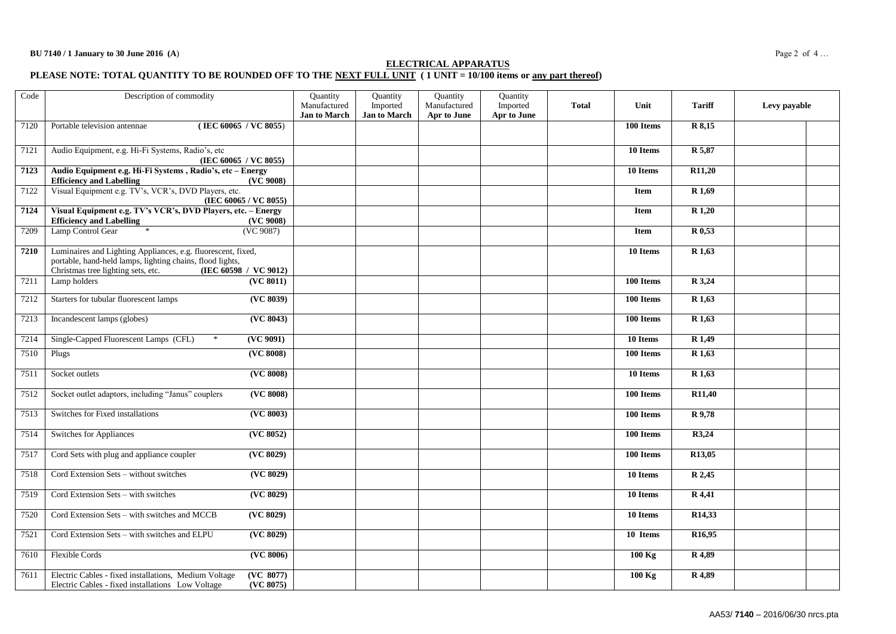### **ELECTRICAL APPARATUS**

#### **PLEASE NOTE: TOTAL QUANTITY TO BE ROUNDED OFF TO THE NEXT FULL UNIT ( 1 UNIT = 10/100 items or any part thereof)**

| Code | Description of commodity                                                                                                                                                                 | Quantity<br>Manufactured<br><b>Jan to March</b> | Quantity<br>Imported<br><b>Jan to March</b> | Quantity<br>Manufactured<br>Apr to June | Quantity<br>Imported<br>Apr to June | <b>Total</b> | Unit        | <b>Tariff</b>       | Levy payable |
|------|------------------------------------------------------------------------------------------------------------------------------------------------------------------------------------------|-------------------------------------------------|---------------------------------------------|-----------------------------------------|-------------------------------------|--------------|-------------|---------------------|--------------|
| 7120 | Portable television antennae<br>(IEC 60065 / VC 8055)                                                                                                                                    |                                                 |                                             |                                         |                                     |              | 100 Items   | R 8,15              |              |
| 7121 | Audio Equipment, e.g. Hi-Fi Systems, Radio's, etc<br>(IEC 60065 / VC 8055)                                                                                                               |                                                 |                                             |                                         |                                     |              | 10 Items    | R 5,87              |              |
| 7123 | Audio Equipment e.g. Hi-Fi Systems, Radio's, etc - Energy<br><b>Efficiency and Labelling</b>                                                                                             | (VC 9008)                                       |                                             |                                         |                                     |              | 10 Items    | R11,20              |              |
| 7122 | Visual Equipment e.g. TV's, VCR's, DVD Players, etc.<br>(IEC 60065 / VC 8055)                                                                                                            |                                                 |                                             |                                         |                                     |              | Item        | R 1,69              |              |
| 7124 | Visual Equipment e.g. TV's VCR's, DVD Players, etc. - Energy<br><b>Efficiency and Labelling</b>                                                                                          | (VC 9008)                                       |                                             |                                         |                                     |              | <b>Item</b> | R 1,20              |              |
| 7209 | Lamp Control Gear<br>(VC 9087)                                                                                                                                                           |                                                 |                                             |                                         |                                     |              | <b>Item</b> | R 0,53              |              |
| 7210 | Luminaires and Lighting Appliances, e.g. fluorescent, fixed,<br>portable, hand-held lamps, lighting chains, flood lights,<br>Christmas tree lighting sets, etc.<br>(IEC 60598 / VC 9012) |                                                 |                                             |                                         |                                     |              | 10 Items    | R 1,63              |              |
| 7211 | Lamp holders                                                                                                                                                                             | (VC 8011)                                       |                                             |                                         |                                     |              | 100 Items   | R 3,24              |              |
| 7212 | Starters for tubular fluorescent lamps                                                                                                                                                   | ( <b>VC</b> 8039)                               |                                             |                                         |                                     |              | 100 Items   | R 1,63              |              |
| 7213 | Incandescent lamps (globes)                                                                                                                                                              | (VC 8043)                                       |                                             |                                         |                                     |              | 100 Items   | R 1,63              |              |
| 7214 | Single-Capped Fluorescent Lamps (CFL)<br>$\ast$                                                                                                                                          | ( <b>VC</b> 9091)                               |                                             |                                         |                                     |              | 10 Items    | R <sub>1,49</sub>   |              |
| 7510 | Plugs                                                                                                                                                                                    | (VC 8008)                                       |                                             |                                         |                                     |              | 100 Items   | $\overline{R}$ 1,63 |              |
| 7511 | Socket outlets                                                                                                                                                                           | (VC 8008)                                       |                                             |                                         |                                     |              | 10 Items    | R 1,63              |              |
| 7512 | Socket outlet adaptors, including "Janus" couplers                                                                                                                                       | (VC 8008)                                       |                                             |                                         |                                     |              | 100 Items   | R11,40              |              |
| 7513 | Switches for Fixed installations                                                                                                                                                         | ( <b>VC</b> 8003)                               |                                             |                                         |                                     |              | 100 Items   | R 9,78              |              |
| 7514 | Switches for Appliances                                                                                                                                                                  | (VC 8052)                                       |                                             |                                         |                                     |              | 100 Items   | R3,24               |              |
| 7517 | Cord Sets with plug and appliance coupler                                                                                                                                                | (VC 8029)                                       |                                             |                                         |                                     |              | 100 Items   | R13,05              |              |
| 7518 | Cord Extension Sets – without switches                                                                                                                                                   | (VC 8029)                                       |                                             |                                         |                                     |              | 10 Items    | R 2,45              |              |
| 7519 | Cord Extension Sets - with switches                                                                                                                                                      | ( <b>VC</b> 8029)                               |                                             |                                         |                                     |              | 10 Items    | R 4,41              |              |
| 7520 | Cord Extension Sets - with switches and MCCB                                                                                                                                             | (VC 8029)                                       |                                             |                                         |                                     |              | 10 Items    | R <sub>14</sub> ,33 |              |
| 7521 | Cord Extension Sets - with switches and ELPU                                                                                                                                             | ( <b>VC</b> 8029)                               |                                             |                                         |                                     |              | 10 Items    | R <sub>16</sub> ,95 |              |
| 7610 | <b>Flexible Cords</b>                                                                                                                                                                    | (VC 8006)                                       |                                             |                                         |                                     |              | $100$ Kg    | R 4,89              |              |
| 7611 | Electric Cables - fixed installations, Medium Voltage<br>Electric Cables - fixed installations Low Voltage                                                                               | (VC 8077)<br>(VC 8075)                          |                                             |                                         |                                     |              | $100$ Kg    | R 4,89              |              |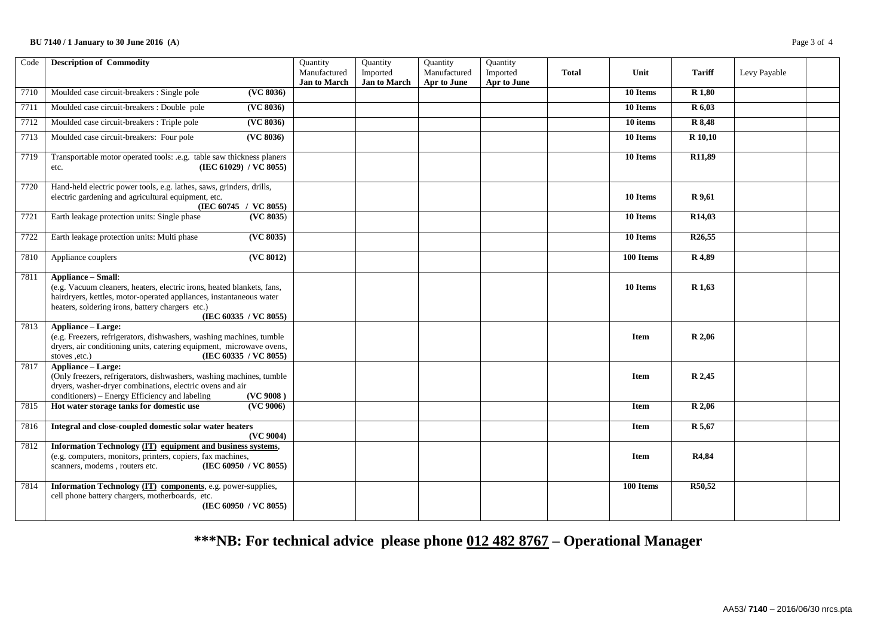## **BU 7140 / 1 January to 30 June 2016 (A**) Page 3 of 4

| Code | <b>Description of Commodity</b>                                                                                                                                                                                                                         | Quantity<br>Manufactured | Quantity<br>Imported | Quantity<br>Manufactured | Quantity<br>Imported | <b>Total</b> | Unit        | <b>Tariff</b>       | Levy Payable |  |
|------|---------------------------------------------------------------------------------------------------------------------------------------------------------------------------------------------------------------------------------------------------------|--------------------------|----------------------|--------------------------|----------------------|--------------|-------------|---------------------|--------------|--|
|      |                                                                                                                                                                                                                                                         | <b>Jan to March</b>      | <b>Jan to March</b>  | Apr to June              | Apr to June          |              |             |                     |              |  |
| 7710 | Moulded case circuit-breakers : Single pole<br>(VC 8036)                                                                                                                                                                                                |                          |                      |                          |                      |              | 10 Items    | R <sub>1,80</sub>   |              |  |
| 7711 | Moulded case circuit-breakers : Double pole<br>(VC 8036)                                                                                                                                                                                                |                          |                      |                          |                      |              | 10 Items    | R 6,03              |              |  |
| 7712 | Moulded case circuit-breakers : Triple pole<br>(VC 8036)                                                                                                                                                                                                |                          |                      |                          |                      |              | 10 items    | R 8,48              |              |  |
| 7713 | (VC 8036)<br>Moulded case circuit-breakers: Four pole                                                                                                                                                                                                   |                          |                      |                          |                      |              | 10 Items    | R 10,10             |              |  |
| 7719 | Transportable motor operated tools: .e.g. table saw thickness planers<br>(IEC 61029) / VC 8055)<br>etc.                                                                                                                                                 |                          |                      |                          |                      |              | 10 Items    | R11,89              |              |  |
| 7720 | Hand-held electric power tools, e.g. lathes, saws, grinders, drills,<br>electric gardening and agricultural equipment, etc.<br>(IEC 60745 / VC 8055)                                                                                                    |                          |                      |                          |                      |              | 10 Items    | R 9,61              |              |  |
| 7721 | Earth leakage protection units: Single phase<br>(VC 8035)                                                                                                                                                                                               |                          |                      |                          |                      |              | 10 Items    | R14,03              |              |  |
| 7722 | Earth leakage protection units: Multi phase<br>(VC 8035)                                                                                                                                                                                                |                          |                      |                          |                      |              | 10 Items    | R <sub>26</sub> ,55 |              |  |
| 7810 | (VC 8012)<br>Appliance couplers                                                                                                                                                                                                                         |                          |                      |                          |                      |              | 100 Items   | R 4,89              |              |  |
| 7811 | <b>Appliance - Small:</b><br>(e.g. Vacuum cleaners, heaters, electric irons, heated blankets, fans,<br>hairdryers, kettles, motor-operated appliances, instantaneous water<br>heaters, soldering irons, battery chargers etc.)<br>(IEC 60335 / VC 8055) |                          |                      |                          |                      |              | 10 Items    | R <sub>1,63</sub>   |              |  |
| 7813 | Appliance - Large:<br>(e.g. Freezers, refrigerators, dishwashers, washing machines, tumble<br>dryers, air conditioning units, catering equipment, microwave ovens,<br>(IEC 60335 / VC 8055)<br>stoves ,etc.)                                            |                          |                      |                          |                      |              | <b>Item</b> | R 2,06              |              |  |
| 7817 | <b>Appliance - Large:</b><br>(Only freezers, refrigerators, dishwashers, washing machines, tumble<br>dryers, washer-dryer combinations, electric ovens and air<br>conditioners) - Energy Efficiency and labeling<br>(VC 9008)                           |                          |                      |                          |                      |              | <b>Item</b> | R 2,45              |              |  |
| 7815 | Hot water storage tanks for domestic use<br>(VC 9006)                                                                                                                                                                                                   |                          |                      |                          |                      |              | Item        | R <sub>2,06</sub>   |              |  |
| 7816 | Integral and close-coupled domestic solar water heaters<br>(VC 9004)                                                                                                                                                                                    |                          |                      |                          |                      |              | <b>Item</b> | R 5,67              |              |  |
| 7812 | Information Technology (IT) equipment and business systems,<br>(e.g. computers, monitors, printers, copiers, fax machines,<br>scanners, modems, routers etc.<br>(IEC 60950 / VC 8055)                                                                   |                          |                      |                          |                      |              | <b>Item</b> | R4,84               |              |  |
| 7814 | Information Technology (IT) components, e.g. power-supplies,<br>cell phone battery chargers, motherboards, etc.<br>(IEC 60950 / VC 8055)                                                                                                                |                          |                      |                          |                      |              | 100 Items   | R50,52              |              |  |

# **\*\*\*NB: For technical advice please phone 012 482 8767 – Operational Manager**